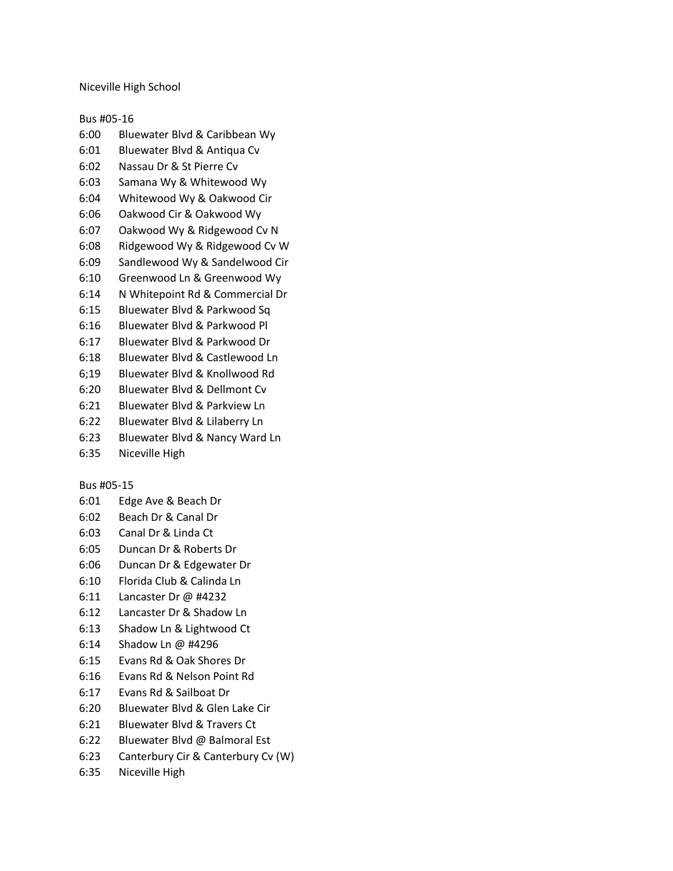Niceville High School

Bus #05-16

- 6:00 Bluewater Blvd & Caribbean Wy
- 6:01 Bluewater Blvd & Antiqua Cv
- 6:02 Nassau Dr & St Pierre Cv
- 6:03 Samana Wy & Whitewood Wy
- 6:04 Whitewood Wy & Oakwood Cir
- 6:06 Oakwood Cir & Oakwood Wy
- 6:07 Oakwood Wy & Ridgewood Cv N
- 6:08 Ridgewood Wy & Ridgewood Cv W
- 6:09 Sandlewood Wy & Sandelwood Cir
- 6:10 Greenwood Ln & Greenwood Wy
- 6:14 N Whitepoint Rd & Commercial Dr
- 6:15 Bluewater Blvd & Parkwood Sq
- 6:16 Bluewater Blvd & Parkwood Pl
- 6:17 Bluewater Blvd & Parkwood Dr
- 6:18 Bluewater Blvd & Castlewood Ln
- 6;19 Bluewater Blvd & Knollwood Rd
- 6:20 Bluewater Blvd & Dellmont Cv
- 6:21 Bluewater Blvd & Parkview Ln
- 6:22 Bluewater Blvd & Lilaberry Ln
- 6:23 Bluewater Blvd & Nancy Ward Ln
- 6:35 Niceville High

### Bus #05-15

- 6:01 Edge Ave & Beach Dr
- 6:02 Beach Dr & Canal Dr
- 6:03 Canal Dr & Linda Ct
- 6:05 Duncan Dr & Roberts Dr
- 6:06 Duncan Dr & Edgewater Dr
- 6:10 Florida Club & Calinda Ln
- 6:11 Lancaster Dr @ #4232
- 6:12 Lancaster Dr & Shadow Ln
- 6:13 Shadow Ln & Lightwood Ct
- 6:14 Shadow Ln @ #4296
- 6:15 Evans Rd & Oak Shores Dr
- 6:16 Evans Rd & Nelson Point Rd
- 6:17 Evans Rd & Sailboat Dr
- 6:20 Bluewater Blvd & Glen Lake Cir
- 6:21 Bluewater Blvd & Travers Ct
- 6:22 Bluewater Blvd @ Balmoral Est
- 6:23 Canterbury Cir & Canterbury Cv (W)
- 6:35 Niceville High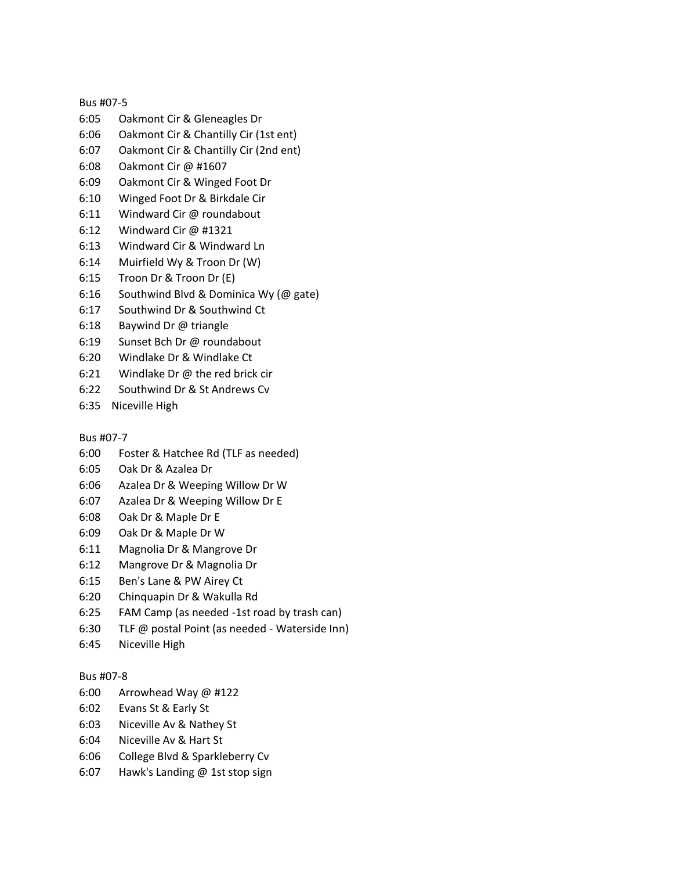## Bus #07-5

- 6:05 Oakmont Cir & Gleneagles Dr
- 6:06 Oakmont Cir & Chantilly Cir (1st ent)
- 6:07 Oakmont Cir & Chantilly Cir (2nd ent)
- 6:08 Oakmont Cir @ #1607
- 6:09 Oakmont Cir & Winged Foot Dr
- 6:10 Winged Foot Dr & Birkdale Cir
- 6:11 Windward Cir @ roundabout
- 6:12 Windward Cir @ #1321
- 6:13 Windward Cir & Windward Ln
- 6:14 Muirfield Wy & Troon Dr (W)
- 6:15 Troon Dr & Troon Dr (E)
- 6:16 Southwind Blvd & Dominica Wy (@ gate)
- 6:17 Southwind Dr & Southwind Ct
- 6:18 Baywind Dr @ triangle
- 6:19 Sunset Bch Dr @ roundabout
- 6:20 Windlake Dr & Windlake Ct
- 6:21 Windlake Dr @ the red brick cir
- 6:22 Southwind Dr & St Andrews Cv
- 6:35 Niceville High

## Bus #07-7

- 6:00 Foster & Hatchee Rd (TLF as needed)
- 6:05 Oak Dr & Azalea Dr
- 6:06 Azalea Dr & Weeping Willow Dr W
- 6:07 Azalea Dr & Weeping Willow Dr E
- 6:08 Oak Dr & Maple Dr E
- 6:09 Oak Dr & Maple Dr W
- 6:11 Magnolia Dr & Mangrove Dr
- 6:12 Mangrove Dr & Magnolia Dr
- 6:15 Ben's Lane & PW Airey Ct
- 6:20 Chinquapin Dr & Wakulla Rd
- 6:25 FAM Camp (as needed -1st road by trash can)
- 6:30 TLF @ postal Point (as needed Waterside Inn)
- 6:45 Niceville High

# Bus #07-8

- 6:00 Arrowhead Way @ #122
- 6:02 Evans St & Early St
- 6:03 Niceville Av & Nathey St
- 6:04 Niceville Av & Hart St
- 6:06 College Blvd & Sparkleberry Cv
- 6:07 Hawk's Landing @ 1st stop sign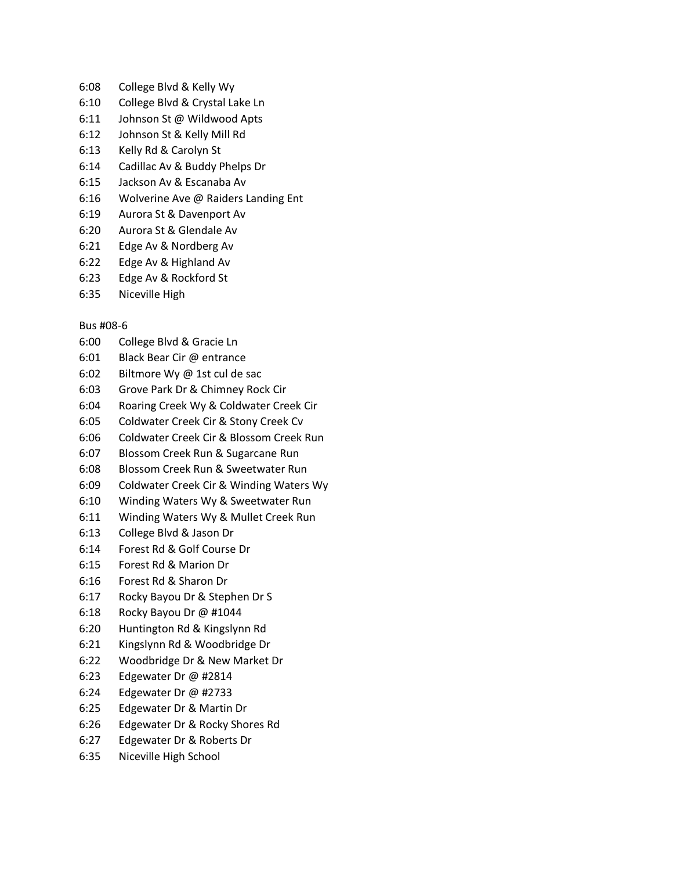- 6:08 College Blvd & Kelly Wy
- 6:10 College Blvd & Crystal Lake Ln
- 6:11 Johnson St @ Wildwood Apts
- 6:12 Johnson St & Kelly Mill Rd
- 6:13 Kelly Rd & Carolyn St
- 6:14 Cadillac Av & Buddy Phelps Dr
- 6:15 Jackson Av & Escanaba Av
- 6:16 Wolverine Ave @ Raiders Landing Ent
- 6:19 Aurora St & Davenport Av
- 6:20 Aurora St & Glendale Av
- 6:21 Edge Av & Nordberg Av
- 6:22 Edge Av & Highland Av
- 6:23 Edge Av & Rockford St
- 6:35 Niceville High

## Bus #08-6

- 6:00 College Blvd & Gracie Ln
- 6:01 Black Bear Cir @ entrance
- 6:02 Biltmore Wy @ 1st cul de sac
- 6:03 Grove Park Dr & Chimney Rock Cir
- 6:04 Roaring Creek Wy & Coldwater Creek Cir
- 6:05 Coldwater Creek Cir & Stony Creek Cv
- 6:06 Coldwater Creek Cir & Blossom Creek Run
- 6:07 Blossom Creek Run & Sugarcane Run
- 6:08 Blossom Creek Run & Sweetwater Run
- 6:09 Coldwater Creek Cir & Winding Waters Wy
- 6:10 Winding Waters Wy & Sweetwater Run
- 6:11 Winding Waters Wy & Mullet Creek Run
- 6:13 College Blvd & Jason Dr
- 6:14 Forest Rd & Golf Course Dr
- 6:15 Forest Rd & Marion Dr
- 6:16 Forest Rd & Sharon Dr
- 6:17 Rocky Bayou Dr & Stephen Dr S
- 6:18 Rocky Bayou Dr @ #1044
- 6:20 Huntington Rd & Kingslynn Rd
- 6:21 Kingslynn Rd & Woodbridge Dr
- 6:22 Woodbridge Dr & New Market Dr
- 6:23 Edgewater Dr @ #2814
- 6:24 Edgewater Dr @ #2733
- 6:25 Edgewater Dr & Martin Dr
- 6:26 Edgewater Dr & Rocky Shores Rd
- 6:27 Edgewater Dr & Roberts Dr
- 6:35 Niceville High School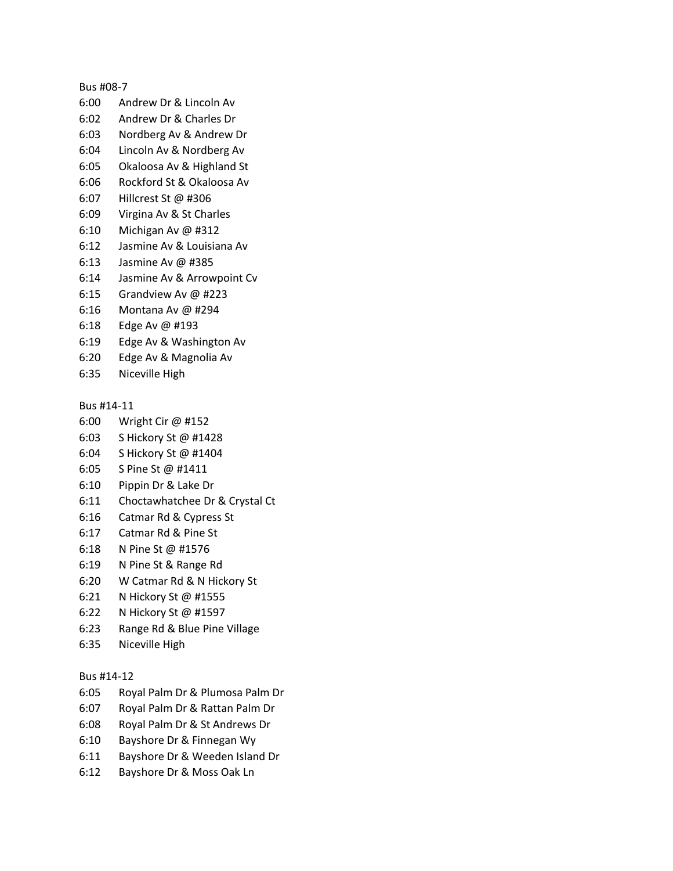#### Bus #08-7

- 6:00 Andrew Dr & Lincoln Av
- 6:02 Andrew Dr & Charles Dr
- 6:03 Nordberg Av & Andrew Dr
- 6:04 Lincoln Av & Nordberg Av
- 6:05 Okaloosa Av & Highland St
- 6:06 Rockford St & Okaloosa Av
- 6:07 Hillcrest St @ #306
- 6:09 Virgina Av & St Charles
- 6:10 Michigan Av @ #312
- 6:12 Jasmine Av & Louisiana Av
- 6:13 Jasmine Av @ #385
- 6:14 Jasmine Av & Arrowpoint Cv
- 6:15 Grandview Av @ #223
- 6:16 Montana Av @ #294
- 6:18 Edge Av @ #193
- 6:19 Edge Av & Washington Av
- 6:20 Edge Av & Magnolia Av
- 6:35 Niceville High

### Bus #14-11

- 6:00 Wright Cir @ #152
- 6:03 S Hickory St @ #1428
- 6:04 S Hickory St @ #1404
- 6:05 S Pine St @ #1411
- 6:10 Pippin Dr & Lake Dr
- 6:11 Choctawhatchee Dr & Crystal Ct
- 6:16 Catmar Rd & Cypress St
- 6:17 Catmar Rd & Pine St
- 6:18 N Pine St @ #1576
- 6:19 N Pine St & Range Rd
- 6:20 W Catmar Rd & N Hickory St
- 6:21 N Hickory St @ #1555
- 6:22 N Hickory St @ #1597
- 6:23 Range Rd & Blue Pine Village
- 6:35 Niceville High

### Bus #14-12

- 6:05 Royal Palm Dr & Plumosa Palm Dr
- 6:07 Royal Palm Dr & Rattan Palm Dr
- 6:08 Royal Palm Dr & St Andrews Dr
- 6:10 Bayshore Dr & Finnegan Wy
- 6:11 Bayshore Dr & Weeden Island Dr
- 6:12 Bayshore Dr & Moss Oak Ln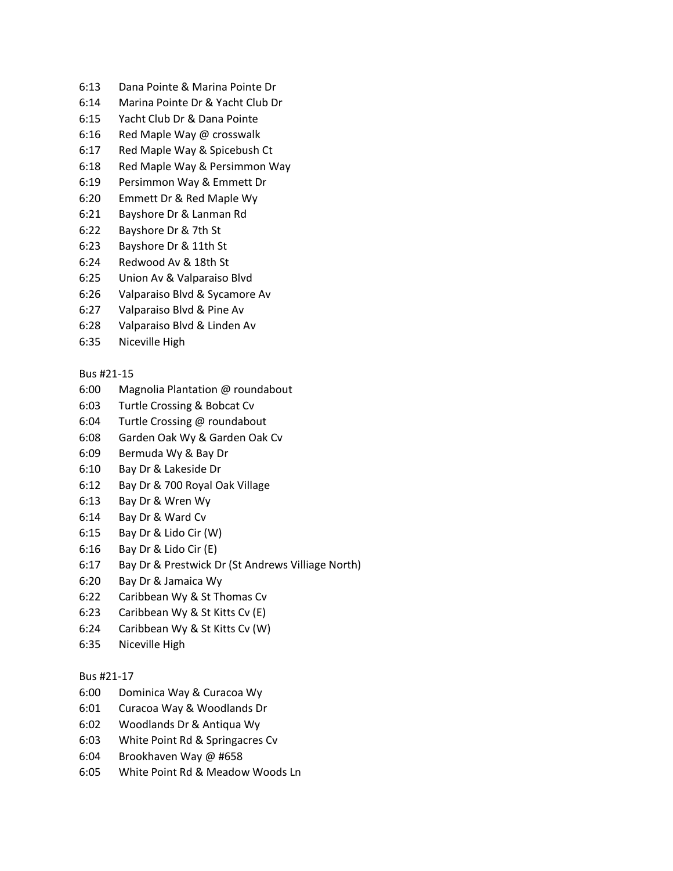- 6:13 Dana Pointe & Marina Pointe Dr
- 6:14 Marina Pointe Dr & Yacht Club Dr
- 6:15 Yacht Club Dr & Dana Pointe
- 6:16 Red Maple Way @ crosswalk
- 6:17 Red Maple Way & Spicebush Ct
- 6:18 Red Maple Way & Persimmon Way
- 6:19 Persimmon Way & Emmett Dr
- 6:20 Emmett Dr & Red Maple Wy
- 6:21 Bayshore Dr & Lanman Rd
- 6:22 Bayshore Dr & 7th St
- 6:23 Bayshore Dr & 11th St
- 6:24 Redwood Av & 18th St
- 6:25 Union Av & Valparaiso Blvd
- 6:26 Valparaiso Blvd & Sycamore Av
- 6:27 Valparaiso Blvd & Pine Av
- 6:28 Valparaiso Blvd & Linden Av
- 6:35 Niceville High

### Bus #21-15

- 6:00 Magnolia Plantation @ roundabout
- 6:03 Turtle Crossing & Bobcat Cv
- 6:04 Turtle Crossing @ roundabout
- 6:08 Garden Oak Wy & Garden Oak Cv
- 6:09 Bermuda Wy & Bay Dr
- 6:10 Bay Dr & Lakeside Dr
- 6:12 Bay Dr & 700 Royal Oak Village
- 6:13 Bay Dr & Wren Wy
- 6:14 Bay Dr & Ward Cv
- 6:15 Bay Dr & Lido Cir (W)
- 6:16 Bay Dr & Lido Cir (E)
- 6:17 Bay Dr & Prestwick Dr (St Andrews Villiage North)
- 6:20 Bay Dr & Jamaica Wy
- 6:22 Caribbean Wy & St Thomas Cv
- 6:23 Caribbean Wy & St Kitts Cv (E)
- 6:24 Caribbean Wy & St Kitts Cv (W)
- 6:35 Niceville High

### Bus #21-17

- 6:00 Dominica Way & Curacoa Wy
- 6:01 Curacoa Way & Woodlands Dr
- 6:02 Woodlands Dr & Antiqua Wy
- 6:03 White Point Rd & Springacres Cv
- 6:04 Brookhaven Way @ #658
- 6:05 White Point Rd & Meadow Woods Ln